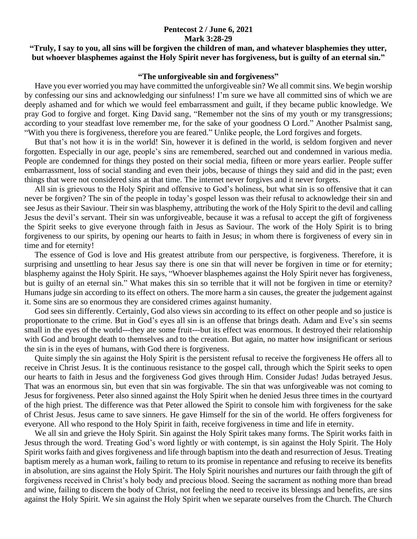## **Pentecost 2 / June 6, 2021 Mark 3:28-29**

## **"Truly, I say to you, all sins will be forgiven the children of man, and whatever blasphemies they utter, but whoever blasphemes against the Holy Spirit never has forgiveness, but is guilty of an eternal sin."**

## **"The unforgiveable sin and forgiveness"**

 Have you ever worried you may have committed the unforgiveable sin? We all commit sins. We begin worship by confessing our sins and acknowledging our sinfulness! I'm sure we have all committed sins of which we are deeply ashamed and for which we would feel embarrassment and guilt, if they became public knowledge. We pray God to forgive and forget. King David sang, "Remember not the sins of my youth or my transgressions; according to your steadfast love remember me, for the sake of your goodness O Lord." Another Psalmist sang, "With you there is forgiveness, therefore you are feared." Unlike people, the Lord forgives and forgets.

 But that's not how it is in the world! Sin, however it is defined in the world, is seldom forgiven and never forgotten. Especially in our age, people's sins are remembered, searched out and condemned in various media. People are condemned for things they posted on their social media, fifteen or more years earlier. People suffer embarrassment, loss of social standing and even their jobs, because of things they said and did in the past; even things that were not considered sins at that time. The internet never forgives and it never forgets.

 All sin is grievous to the Holy Spirit and offensive to God's holiness, but what sin is so offensive that it can never be forgiven? The sin of the people in today's gospel lesson was their refusal to acknowledge their sin and see Jesus as their Saviour. Their sin was blasphemy, attributing the work of the Holy Spirit to the devil and calling Jesus the devil's servant. Their sin was unforgiveable, because it was a refusal to accept the gift of forgiveness the Spirit seeks to give everyone through faith in Jesus as Saviour. The work of the Holy Spirit is to bring forgiveness to our spirits, by opening our hearts to faith in Jesus; in whom there is forgiveness of every sin in time and for eternity!

 The essence of God is love and His greatest attribute from our perspective, is forgiveness. Therefore, it is surprising and unsettling to hear Jesus say there is one sin that will never be forgiven in time or for eternity; blasphemy against the Holy Spirit. He says, "Whoever blasphemes against the Holy Spirit never has forgiveness, but is guilty of an eternal sin." What makes this sin so terrible that it will not be forgiven in time or eternity? Humans judge sin according to its effect on others. The more harm a sin causes, the greater the judgement against it. Some sins are so enormous they are considered crimes against humanity.

 God sees sin differently. Certainly, God also views sin according to its effect on other people and so justice is proportionate to the crime. But in God's eyes all sin is an offense that brings death. Adam and Eve's sin seems small in the eyes of the world---they ate some fruit---but its effect was enormous. It destroyed their relationship with God and brought death to themselves and to the creation. But again, no matter how insignificant or serious the sin is in the eyes of humans, with God there is forgiveness.

 Quite simply the sin against the Holy Spirit is the persistent refusal to receive the forgiveness He offers all to receive in Christ Jesus. It is the continuous resistance to the gospel call, through which the Spirit seeks to open our hearts to faith in Jesus and the forgiveness God gives through Him. Consider Judas! Judas betrayed Jesus. That was an enormous sin, but even that sin was forgivable. The sin that was unforgiveable was not coming to Jesus for forgiveness. Peter also sinned against the Holy Spirit when he denied Jesus three times in the courtyard of the high priest. The difference was that Peter allowed the Spirit to console him with forgiveness for the sake of Christ Jesus. Jesus came to save sinners. He gave Himself for the sin of the world. He offers forgiveness for everyone. All who respond to the Holy Spirit in faith, receive forgiveness in time and life in eternity.

 We all sin and grieve the Holy Spirit. Sin against the Holy Spirit takes many forms. The Spirit works faith in Jesus through the word. Treating God's word lightly or with contempt, is sin against the Holy Spirit. The Holy Spirit works faith and gives forgiveness and life through baptism into the death and resurrection of Jesus. Treating baptism merely as a human work, failing to return to its promise in repentance and refusing to receive its benefits in absolution, are sins against the Holy Spirit. The Holy Spirit nourishes and nurtures our faith through the gift of forgiveness received in Christ's holy body and precious blood. Seeing the sacrament as nothing more than bread and wine, failing to discern the body of Christ, not feeling the need to receive its blessings and benefits, are sins against the Holy Spirit. We sin against the Holy Spirit when we separate ourselves from the Church. The Church